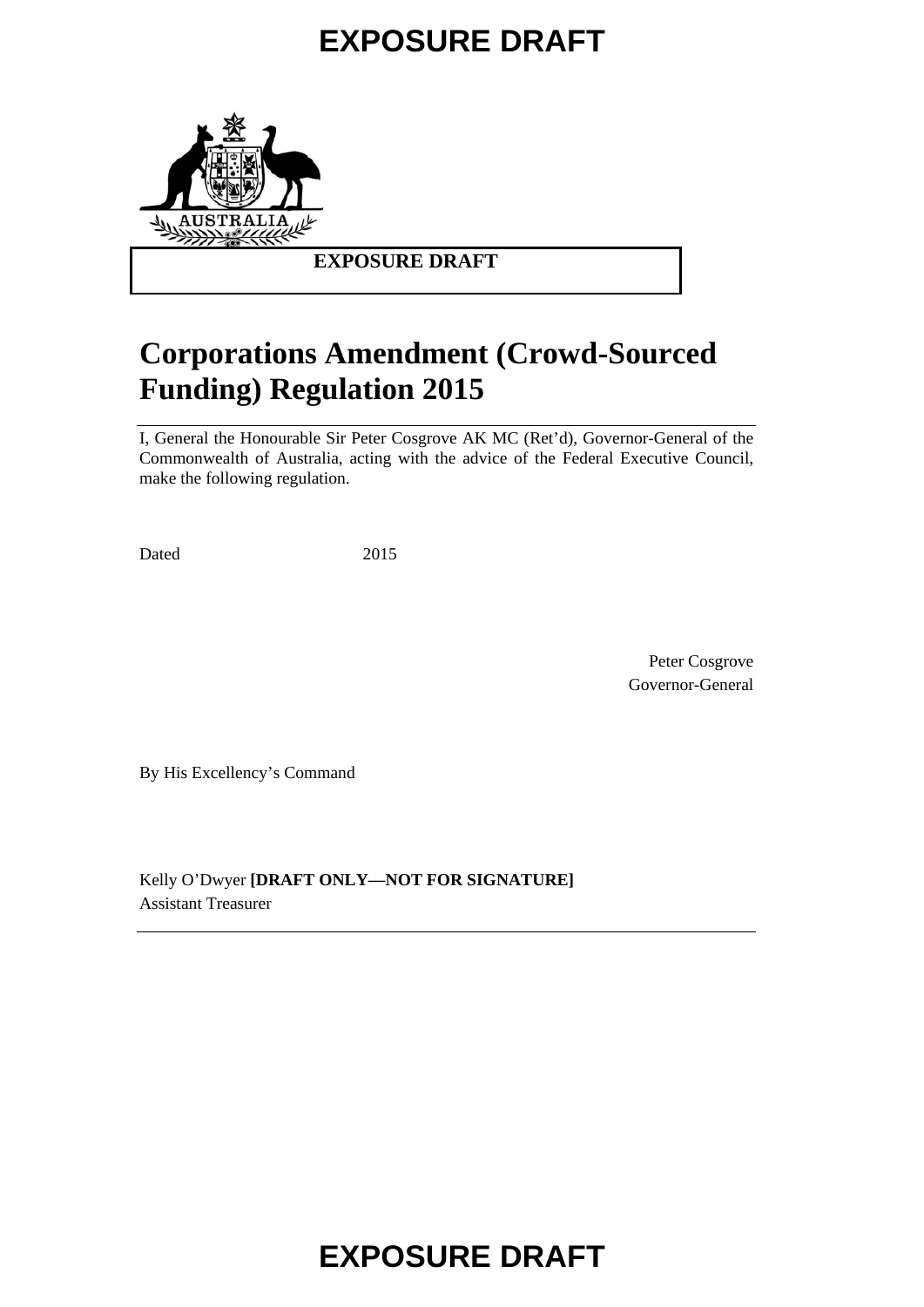# **EXPOSURE DRAFT**



## **EXPOSURE DRAFT**

# **Corporations Amendment (Crowd-Sourced Funding) Regulation 2015**

I, General the Honourable Sir Peter Cosgrove AK MC (Ret'd), Governor-General of the Commonwealth of Australia, acting with the advice of the Federal Executive Council, make the following regulation.

Dated 2015

Peter Cosgrove Governor-General

By His Excellency's Command

Kelly O'Dwyer **[DRAFT ONLY—NOT FOR SIGNATURE]** Assistant Treasurer

# **EXPOSURE DRAFT**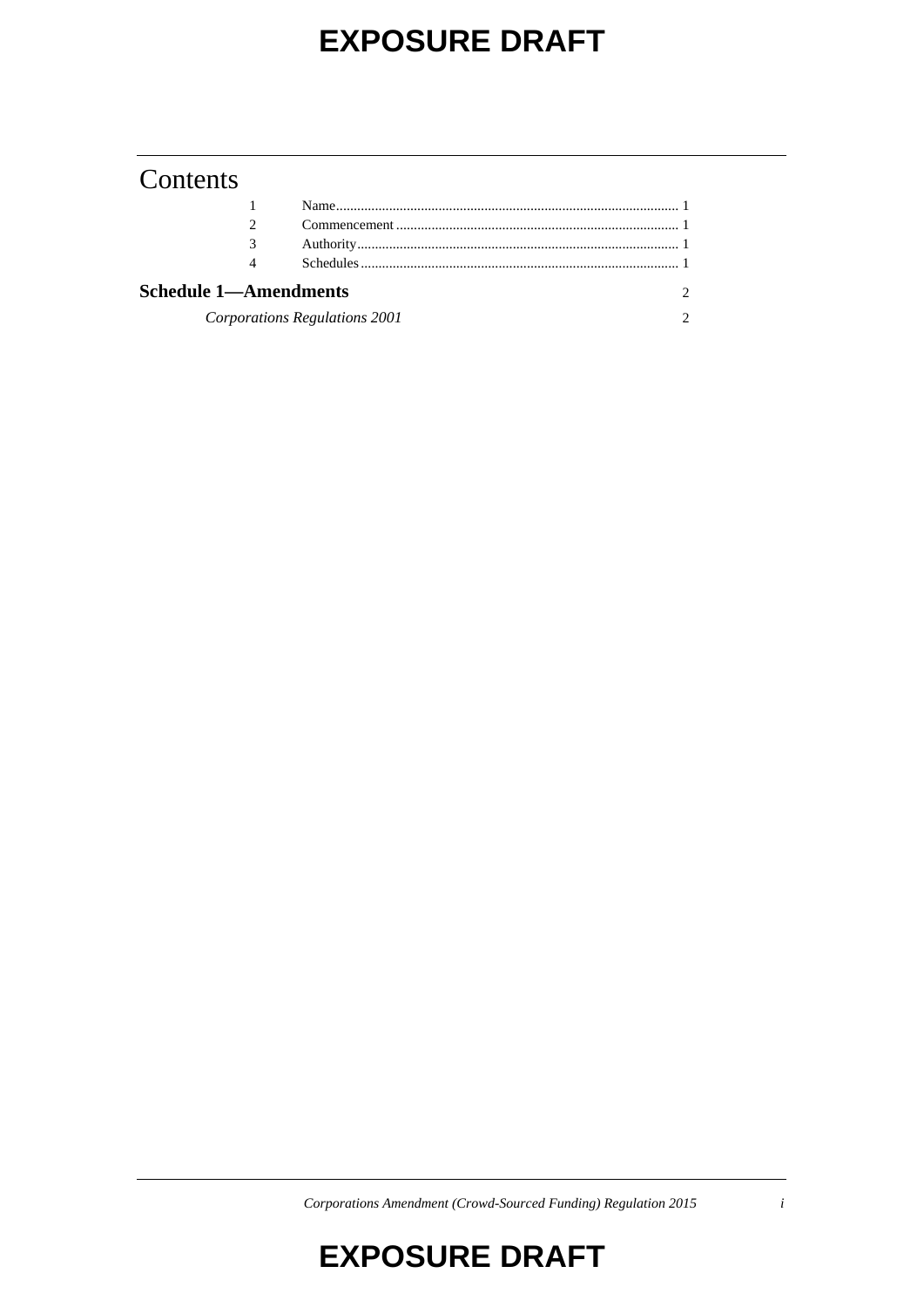# **EXPOSURE DRAFT**

## **Contents**

| <b>Schedule 1-Amendments</b>  |  |  |
|-------------------------------|--|--|
| Corporations Regulations 2001 |  |  |

*Corporations Amendment (Crowd-Sourced Funding) Regulation 2015 i*

# **EXPOSURE DRAFT**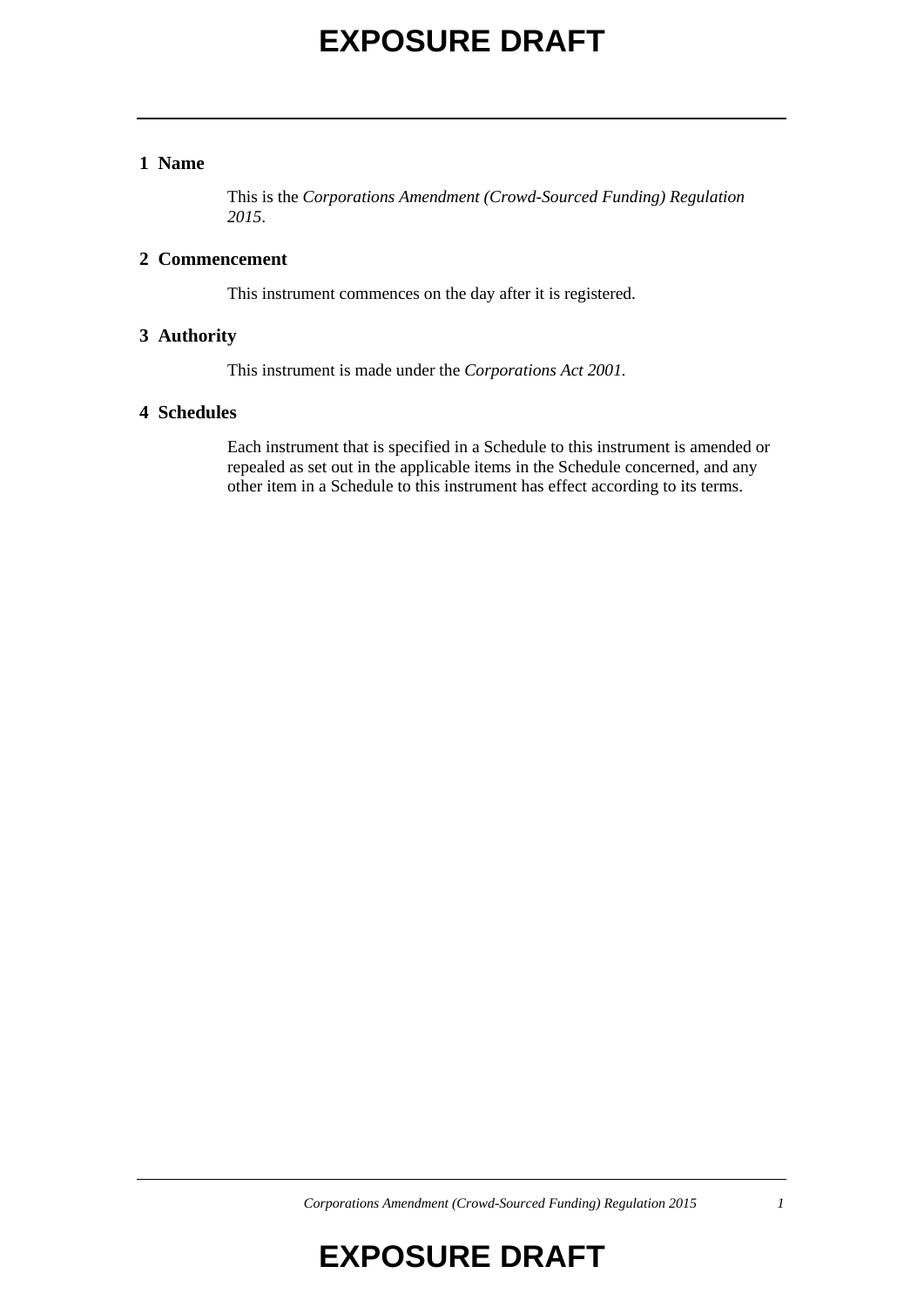## **1 Name**

This is the *Corporations Amendment (Crowd-Sourced Funding) Regulation 2015*.

## **2 Commencement**

This instrument commences on the day after it is registered.

## **3 Authority**

This instrument is made under the *Corporations Act 2001.*

## **4 Schedules**

Each instrument that is specified in a Schedule to this instrument is amended or repealed as set out in the applicable items in the Schedule concerned, and any other item in a Schedule to this instrument has effect according to its terms.

# **EXPOSURE DRAFT**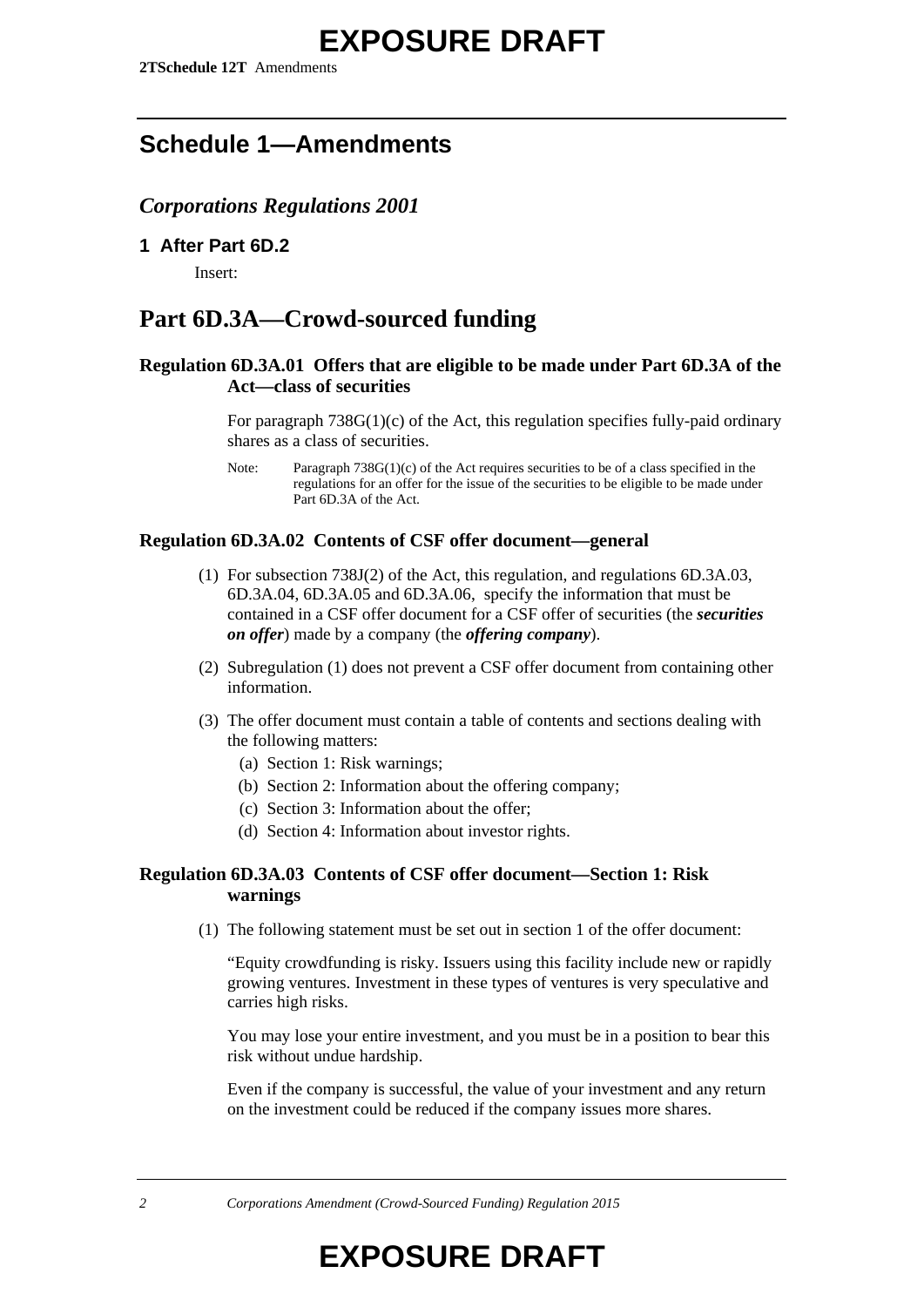## **Schedule 1—Amendments**

### *Corporations Regulations 2001*

#### **1 After Part 6D.2**

Insert:

## **Part 6D.3A—Crowd-sourced funding**

### **Regulation 6D.3A.01 Offers that are eligible to be made under Part 6D.3A of the Act—class of securities**

For paragraph  $738G(1)(c)$  of the Act, this regulation specifies fully-paid ordinary shares as a class of securities.

Note: Paragraph 738G(1)(c) of the Act requires securities to be of a class specified in the regulations for an offer for the issue of the securities to be eligible to be made under Part 6D.3A of the Act.

#### **Regulation 6D.3A.02 Contents of CSF offer document—general**

- (1) For subsection 738J(2) of the Act, this regulation, and regulations 6D.3A.03, 6D.3A.04, 6D.3A.05 and 6D.3A.06, specify the information that must be contained in a CSF offer document for a CSF offer of securities (the *securities on offer*) made by a company (the *offering company*).
- (2) Subregulation (1) does not prevent a CSF offer document from containing other information.
- (3) The offer document must contain a table of contents and sections dealing with the following matters:
	- (a) Section 1: Risk warnings;
	- (b) Section 2: Information about the offering company;
	- (c) Section 3: Information about the offer;
	- (d) Section 4: Information about investor rights.

## **Regulation 6D.3A.03 Contents of CSF offer document—Section 1: Risk warnings**

(1) The following statement must be set out in section 1 of the offer document:

"Equity crowdfunding is risky. Issuers using this facility include new or rapidly growing ventures. Investment in these types of ventures is very speculative and carries high risks.

You may lose your entire investment, and you must be in a position to bear this risk without undue hardship.

Even if the company is successful, the value of your investment and any return on the investment could be reduced if the company issues more shares.

*2 Corporations Amendment (Crowd-Sourced Funding) Regulation 2015*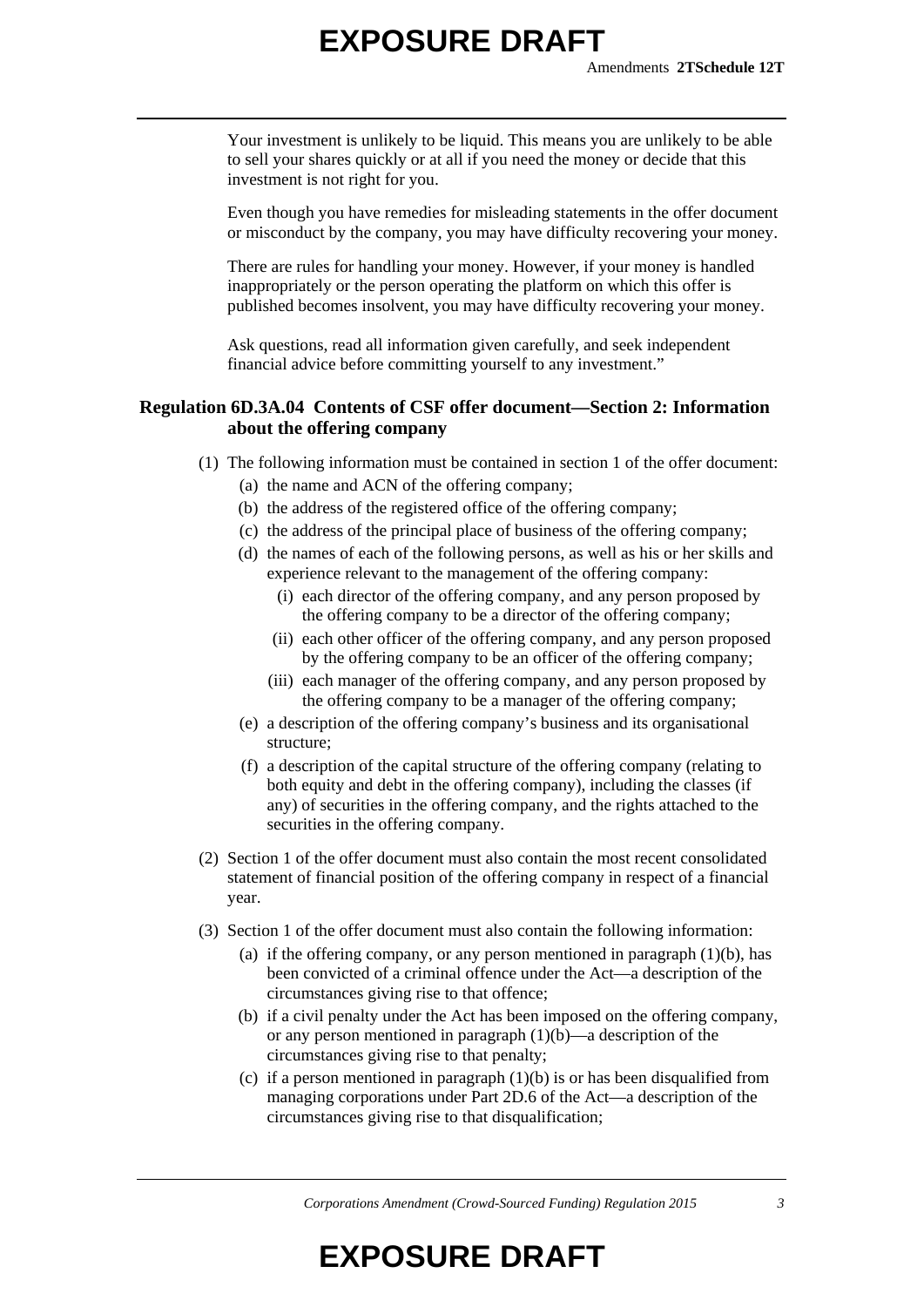Your investment is unlikely to be liquid. This means you are unlikely to be able to sell your shares quickly or at all if you need the money or decide that this investment is not right for you.

Even though you have remedies for misleading statements in the offer document or misconduct by the company, you may have difficulty recovering your money.

There are rules for handling your money. However, if your money is handled inappropriately or the person operating the platform on which this offer is published becomes insolvent, you may have difficulty recovering your money.

Ask questions, read all information given carefully, and seek independent financial advice before committing yourself to any investment."

### **Regulation 6D.3A.04 Contents of CSF offer document—Section 2: Information about the offering company**

- (1) The following information must be contained in section 1 of the offer document:
	- (a) the name and ACN of the offering company;
	- (b) the address of the registered office of the offering company;
	- (c) the address of the principal place of business of the offering company;
	- (d) the names of each of the following persons, as well as his or her skills and experience relevant to the management of the offering company:
		- (i) each director of the offering company, and any person proposed by the offering company to be a director of the offering company;
		- (ii) each other officer of the offering company, and any person proposed by the offering company to be an officer of the offering company;
		- (iii) each manager of the offering company, and any person proposed by the offering company to be a manager of the offering company;
	- (e) a description of the offering company's business and its organisational structure;
	- (f) a description of the capital structure of the offering company (relating to both equity and debt in the offering company), including the classes (if any) of securities in the offering company, and the rights attached to the securities in the offering company.
- (2) Section 1 of the offer document must also contain the most recent consolidated statement of financial position of the offering company in respect of a financial year.
- (3) Section 1 of the offer document must also contain the following information:
	- (a) if the offering company, or any person mentioned in paragraph  $(1)(b)$ , has been convicted of a criminal offence under the Act—a description of the circumstances giving rise to that offence;
	- (b) if a civil penalty under the Act has been imposed on the offering company, or any person mentioned in paragraph  $(1)(b)$ —a description of the circumstances giving rise to that penalty;
	- (c) if a person mentioned in paragraph  $(1)(b)$  is or has been disqualified from managing corporations under Part 2D.6 of the Act—a description of the circumstances giving rise to that disqualification;

*Corporations Amendment (Crowd-Sourced Funding) Regulation 2015 3*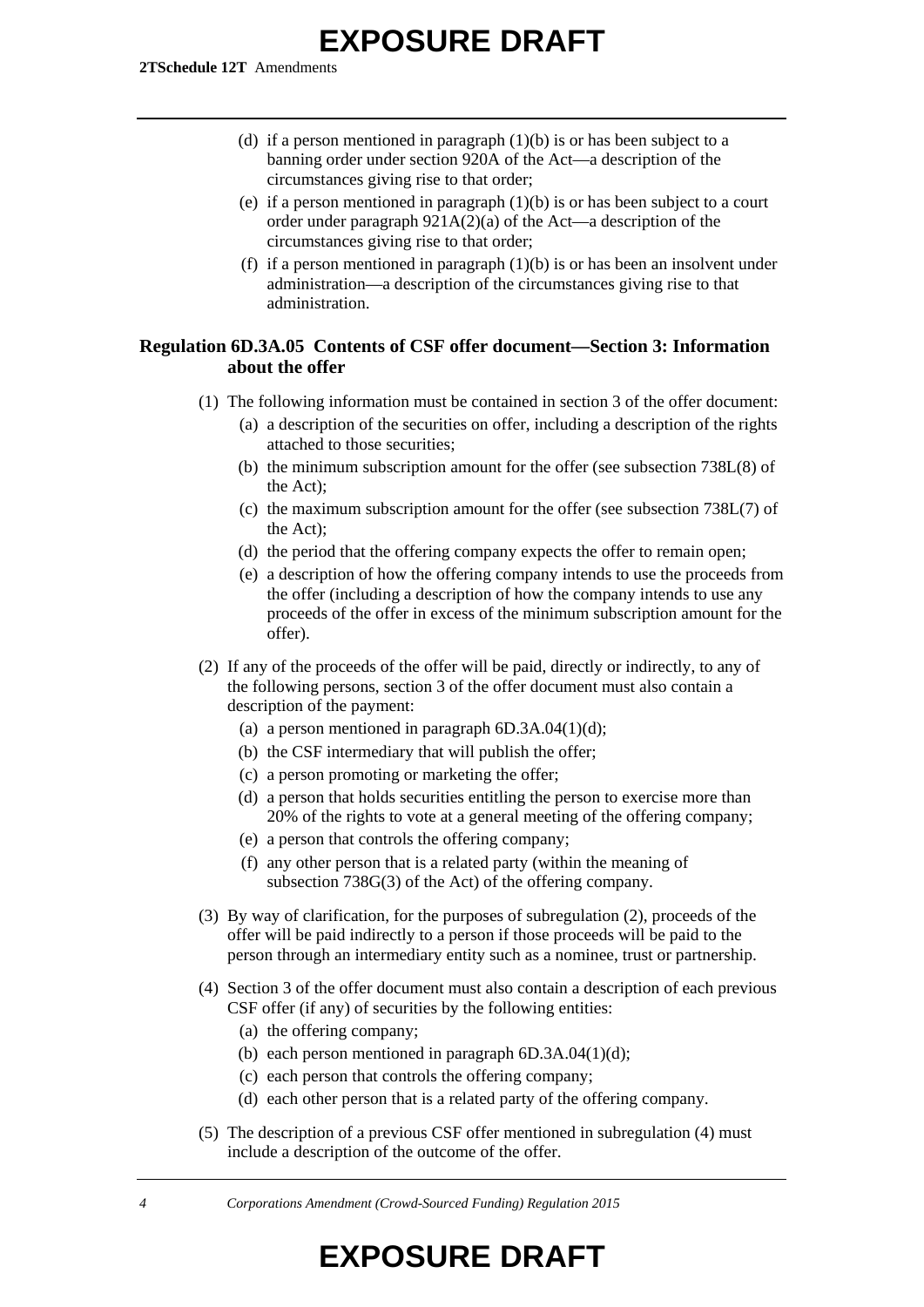- (d) if a person mentioned in paragraph  $(1)(b)$  is or has been subject to a banning order under section 920A of the Act—a description of the circumstances giving rise to that order;
- (e) if a person mentioned in paragraph  $(1)(b)$  is or has been subject to a court order under paragraph 921A(2)(a) of the Act—a description of the circumstances giving rise to that order;
- (f) if a person mentioned in paragraph  $(1)(b)$  is or has been an insolvent under administration—a description of the circumstances giving rise to that administration.

## **Regulation 6D.3A.05 Contents of CSF offer document—Section 3: Information about the offer**

- (1) The following information must be contained in section 3 of the offer document:
	- (a) a description of the securities on offer, including a description of the rights attached to those securities;
	- (b) the minimum subscription amount for the offer (see subsection 738L(8) of the Act);
	- (c) the maximum subscription amount for the offer (see subsection 738L(7) of the Act);
	- (d) the period that the offering company expects the offer to remain open;
	- (e) a description of how the offering company intends to use the proceeds from the offer (including a description of how the company intends to use any proceeds of the offer in excess of the minimum subscription amount for the offer).
- (2) If any of the proceeds of the offer will be paid, directly or indirectly, to any of the following persons, section 3 of the offer document must also contain a description of the payment:
	- (a) a person mentioned in paragraph  $6D.3A.04(1)(d)$ ;
	- (b) the CSF intermediary that will publish the offer;
	- (c) a person promoting or marketing the offer;
	- (d) a person that holds securities entitling the person to exercise more than 20% of the rights to vote at a general meeting of the offering company;
	- (e) a person that controls the offering company;
	- (f) any other person that is a related party (within the meaning of subsection 738G(3) of the Act) of the offering company.
- (3) By way of clarification, for the purposes of subregulation (2), proceeds of the offer will be paid indirectly to a person if those proceeds will be paid to the person through an intermediary entity such as a nominee, trust or partnership.
- (4) Section 3 of the offer document must also contain a description of each previous CSF offer (if any) of securities by the following entities:
	- (a) the offering company;
	- (b) each person mentioned in paragraph 6D.3A.04(1)(d);
	- (c) each person that controls the offering company;
	- (d) each other person that is a related party of the offering company.
- (5) The description of a previous CSF offer mentioned in subregulation (4) must include a description of the outcome of the offer.

*4 Corporations Amendment (Crowd-Sourced Funding) Regulation 2015*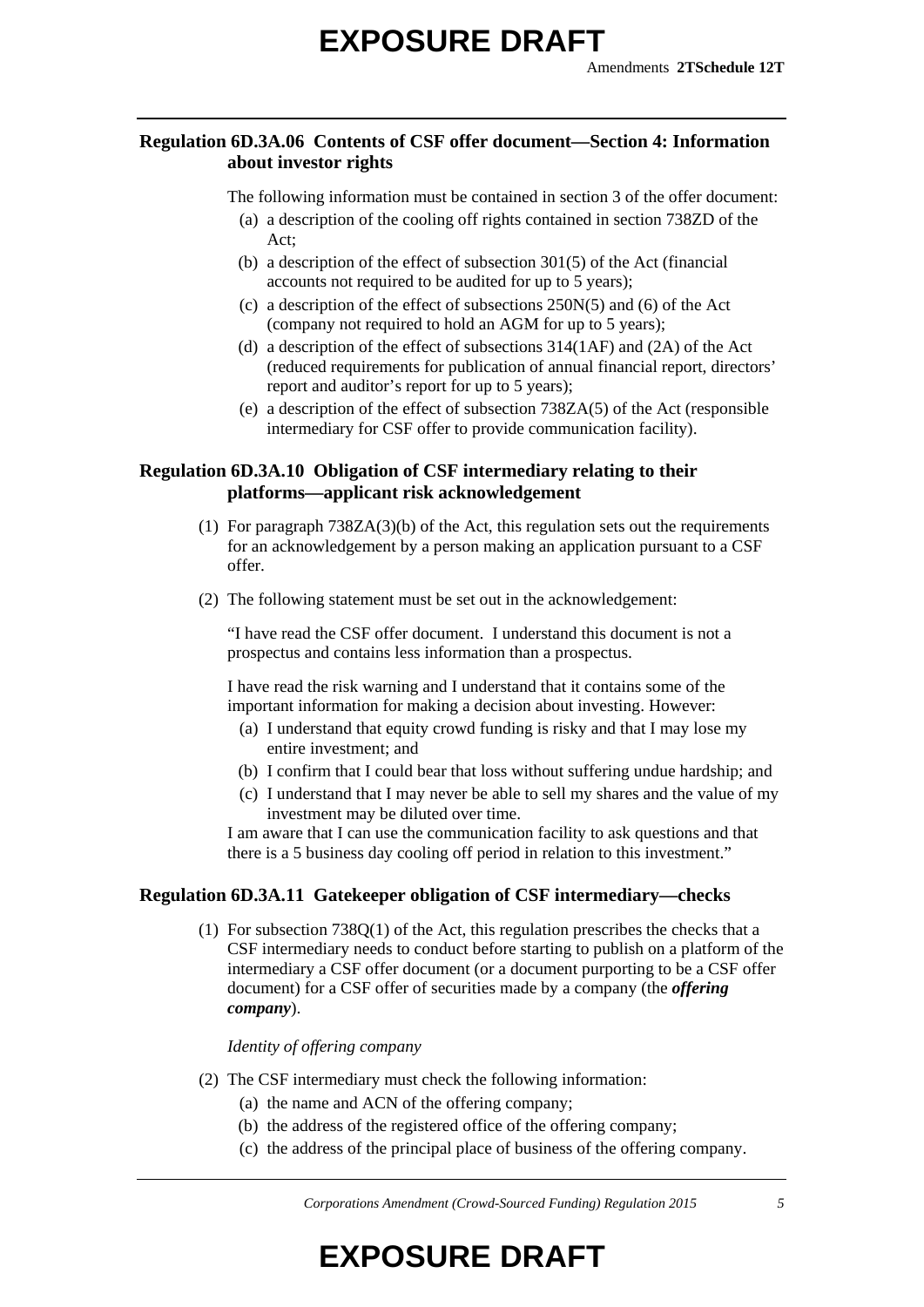### **Regulation 6D.3A.06 Contents of CSF offer document—Section 4: Information about investor rights**

The following information must be contained in section 3 of the offer document:

- (a) a description of the cooling off rights contained in section 738ZD of the Act;
- (b) a description of the effect of subsection 301(5) of the Act (financial accounts not required to be audited for up to 5 years);
- (c) a description of the effect of subsections 250N(5) and (6) of the Act (company not required to hold an AGM for up to 5 years);
- (d) a description of the effect of subsections 314(1AF) and (2A) of the Act (reduced requirements for publication of annual financial report, directors' report and auditor's report for up to 5 years);
- (e) a description of the effect of subsection 738ZA(5) of the Act (responsible intermediary for CSF offer to provide communication facility).

## **Regulation 6D.3A.10 Obligation of CSF intermediary relating to their platforms—applicant risk acknowledgement**

- (1) For paragraph 738ZA(3)(b) of the Act, this regulation sets out the requirements for an acknowledgement by a person making an application pursuant to a CSF offer.
- (2) The following statement must be set out in the acknowledgement:

"I have read the CSF offer document. I understand this document is not a prospectus and contains less information than a prospectus.

I have read the risk warning and I understand that it contains some of the important information for making a decision about investing. However:

- (a) I understand that equity crowd funding is risky and that I may lose my entire investment; and
- (b) I confirm that I could bear that loss without suffering undue hardship; and
- (c) I understand that I may never be able to sell my shares and the value of my investment may be diluted over time.

I am aware that I can use the communication facility to ask questions and that there is a 5 business day cooling off period in relation to this investment."

### **Regulation 6D.3A.11 Gatekeeper obligation of CSF intermediary—checks**

(1) For subsection 738Q(1) of the Act, this regulation prescribes the checks that a CSF intermediary needs to conduct before starting to publish on a platform of the intermediary a CSF offer document (or a document purporting to be a CSF offer document) for a CSF offer of securities made by a company (the *offering company*).

*Identity of offering company*

- (2) The CSF intermediary must check the following information:
	- (a) the name and ACN of the offering company;
	- (b) the address of the registered office of the offering company;
	- (c) the address of the principal place of business of the offering company.

*Corporations Amendment (Crowd-Sourced Funding) Regulation 2015 5*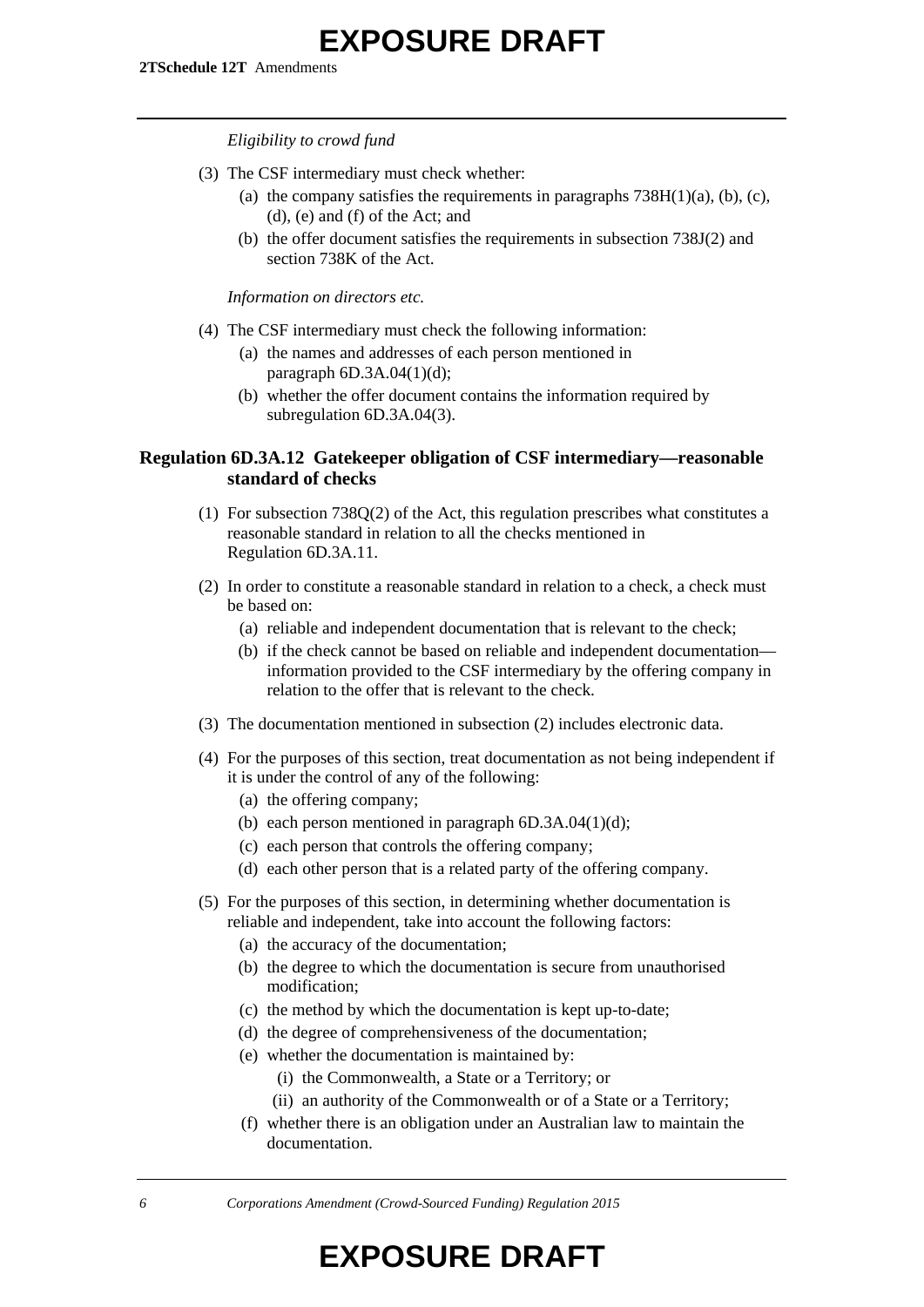# **EXPOSURE DRAFT**

#### *Eligibility to crowd fund*

- (3) The CSF intermediary must check whether:
	- (a) the company satisfies the requirements in paragraphs  $738H(1)(a)$ , (b), (c), (d), (e) and (f) of the Act; and
	- (b) the offer document satisfies the requirements in subsection 738J(2) and section 738K of the Act.

*Information on directors etc.*

- (4) The CSF intermediary must check the following information:
	- (a) the names and addresses of each person mentioned in paragraph  $6D.3A.04(1)(d)$ ;
	- (b) whether the offer document contains the information required by subregulation 6D.3A.04(3).

### **Regulation 6D.3A.12 Gatekeeper obligation of CSF intermediary—reasonable standard of checks**

- (1) For subsection 738Q(2) of the Act, this regulation prescribes what constitutes a reasonable standard in relation to all the checks mentioned in Regulation 6D.3A.11.
- (2) In order to constitute a reasonable standard in relation to a check, a check must be based on:
	- (a) reliable and independent documentation that is relevant to the check;
	- (b) if the check cannot be based on reliable and independent documentation information provided to the CSF intermediary by the offering company in relation to the offer that is relevant to the check.
- (3) The documentation mentioned in subsection (2) includes electronic data.
- (4) For the purposes of this section, treat documentation as not being independent if it is under the control of any of the following:
	- (a) the offering company;
	- (b) each person mentioned in paragraph  $6D.3A.04(1)(d)$ ;
	- (c) each person that controls the offering company;
	- (d) each other person that is a related party of the offering company.
- (5) For the purposes of this section, in determining whether documentation is reliable and independent, take into account the following factors:
	- (a) the accuracy of the documentation;
	- (b) the degree to which the documentation is secure from unauthorised modification;
	- (c) the method by which the documentation is kept up-to-date;
	- (d) the degree of comprehensiveness of the documentation;
	- (e) whether the documentation is maintained by:
		- (i) the Commonwealth, a State or a Territory; or
		- (ii) an authority of the Commonwealth or of a State or a Territory;
	- (f) whether there is an obligation under an Australian law to maintain the documentation.

*6 Corporations Amendment (Crowd-Sourced Funding) Regulation 2015*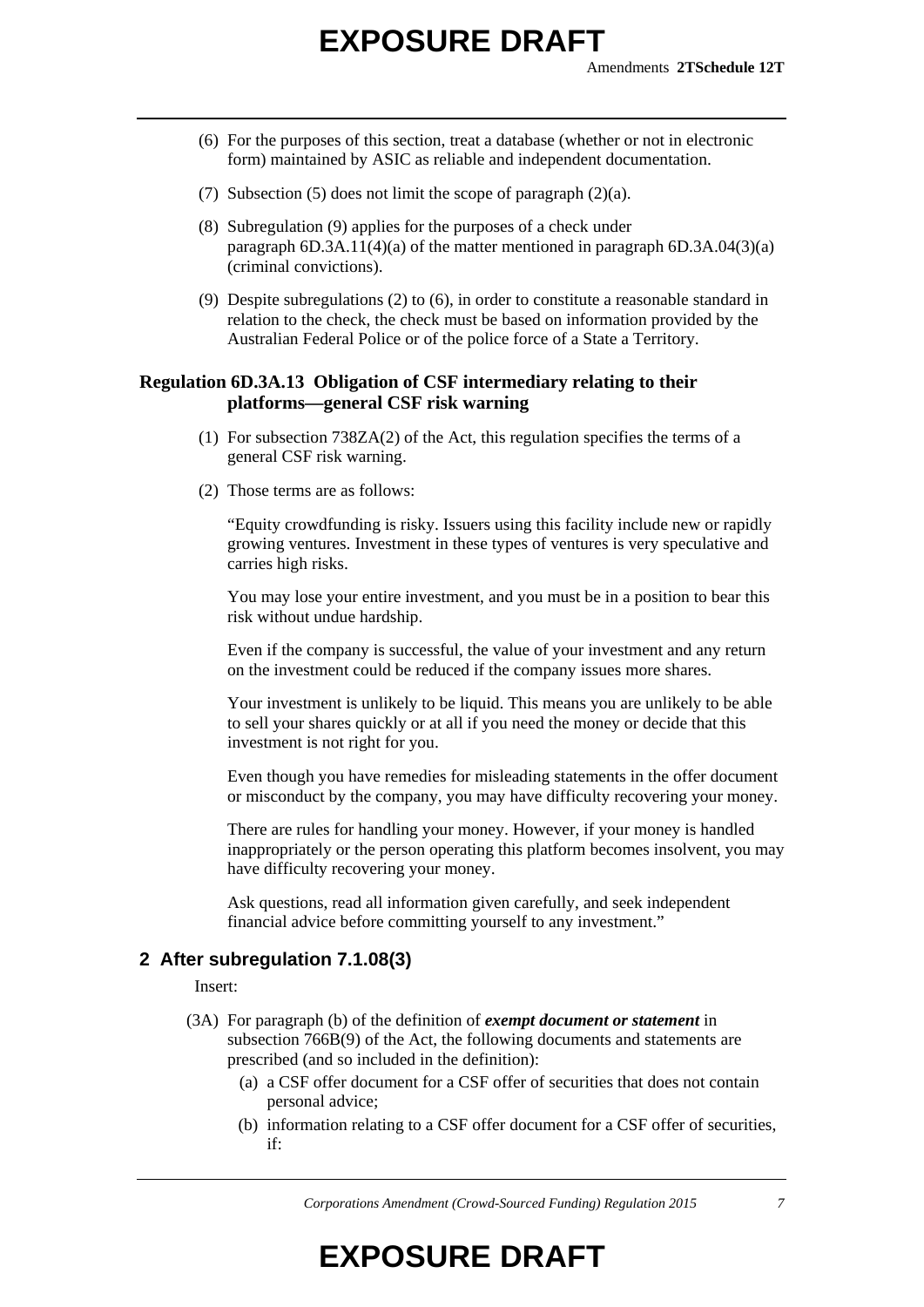- (6) For the purposes of this section, treat a database (whether or not in electronic form) maintained by ASIC as reliable and independent documentation.
- (7) Subsection (5) does not limit the scope of paragraph (2)(a).
- (8) Subregulation (9) applies for the purposes of a check under paragraph 6D.3A.11(4)(a) of the matter mentioned in paragraph 6D.3A.04(3)(a) (criminal convictions).
- (9) Despite subregulations (2) to (6), in order to constitute a reasonable standard in relation to the check, the check must be based on information provided by the Australian Federal Police or of the police force of a State a Territory.

### **Regulation 6D.3A.13 Obligation of CSF intermediary relating to their platforms—general CSF risk warning**

- (1) For subsection 738ZA(2) of the Act, this regulation specifies the terms of a general CSF risk warning.
- (2) Those terms are as follows:

"Equity crowdfunding is risky. Issuers using this facility include new or rapidly growing ventures. Investment in these types of ventures is very speculative and carries high risks.

You may lose your entire investment, and you must be in a position to bear this risk without undue hardship.

Even if the company is successful, the value of your investment and any return on the investment could be reduced if the company issues more shares.

Your investment is unlikely to be liquid. This means you are unlikely to be able to sell your shares quickly or at all if you need the money or decide that this investment is not right for you.

Even though you have remedies for misleading statements in the offer document or misconduct by the company, you may have difficulty recovering your money.

There are rules for handling your money. However, if your money is handled inappropriately or the person operating this platform becomes insolvent, you may have difficulty recovering your money.

Ask questions, read all information given carefully, and seek independent financial advice before committing yourself to any investment."

## **2 After subregulation 7.1.08(3)**

Insert:

- (3A) For paragraph (b) of the definition of *exempt document or statement* in subsection 766B(9) of the Act, the following documents and statements are prescribed (and so included in the definition):
	- (a) a CSF offer document for a CSF offer of securities that does not contain personal advice;
	- (b) information relating to a CSF offer document for a CSF offer of securities, if:

*Corporations Amendment (Crowd-Sourced Funding) Regulation 2015 7*